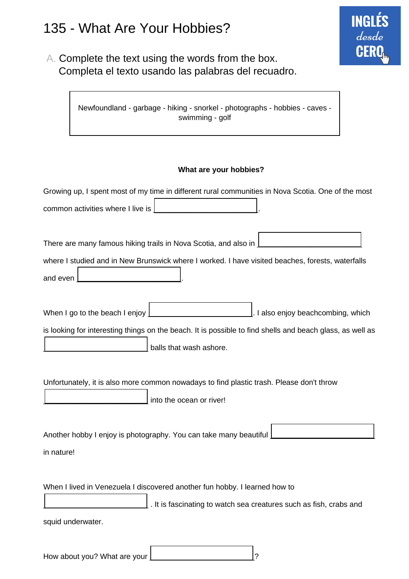# 135 - What Are Your Hobbies?

A. Complete the text using the words from the box. Completa el texto usando las palabras del recuadro.

> Newfoundland - garbage - hiking - snorkel - photographs - hobbies - caves swimming - golf

#### **What are your hobbies?**

**INGLÉS** 

desde

**CER** 

| Growing up, I spent most of my time in different rural communities in Nova Scotia. One of the most        |
|-----------------------------------------------------------------------------------------------------------|
| common activities where I live is                                                                         |
|                                                                                                           |
| There are many famous hiking trails in Nova Scotia, and also in                                           |
| where I studied and in New Brunswick where I worked. I have visited beaches, forests, waterfalls          |
| and even                                                                                                  |
|                                                                                                           |
| When I go to the beach I enjoy<br>. I also enjoy beachcombing, which                                      |
| is looking for interesting things on the beach. It is possible to find shells and beach glass, as well as |
| balls that wash ashore.                                                                                   |
|                                                                                                           |
| Unfortunately, it is also more common nowadays to find plastic trash. Please don't throw                  |
| into the ocean or river!                                                                                  |
|                                                                                                           |
| Another hobby I enjoy is photography. You can take many beautiful                                         |
| in nature!                                                                                                |
|                                                                                                           |
| When I lived in Venezuela I discovered another fun hobby. I learned how to                                |
| . It is fascinating to watch sea creatures such as fish, crabs and                                        |
| squid underwater.                                                                                         |
|                                                                                                           |
| ?<br>How about you? What are your                                                                         |